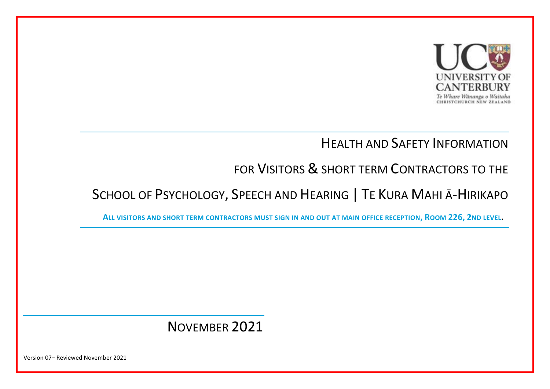

### HEALTH AND SAFETY INFORMATION

# FOR VISITORS & SHORT TERM CONTRACTORS TO THE

# SCHOOL OF PSYCHOLOGY, SPEECH AND HEARING | TE KURA MAHI Ā-HIRIKAPO

**ALL VISITORS AND SHORT TERM CONTRACTORS MUST SIGN IN AND OUT AT MAIN OFFICE RECEPTION, ROOM 226, 2ND LEVEL.**

## NOVEMBER 2021

Version 07– Reviewed November 2021